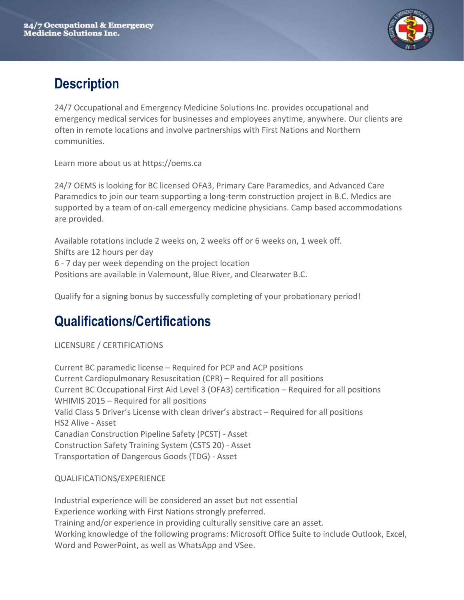

#### **Description**

24/7 Occupational and Emergency Medicine Solutions Inc. provides occupational and emergency medical services for businesses and employees anytime, anywhere. Our clients are often in remote locations and involve partnerships with First Nations and Northern communities.

Learn more about us at https://oems.ca

24/7 OEMS is looking for BC licensed OFA3, Primary Care Paramedics, and Advanced Care Paramedics to join our team supporting a long-term construction project in B.C. Medics are supported by a team of on-call emergency medicine physicians. Camp based accommodations are provided.

Available rotations include 2 weeks on, 2 weeks off or 6 weeks on, 1 week off. Shifts are 12 hours per day 6 - 7 day per week depending on the project location Positions are available in Valemount, Blue River, and Clearwater B.C.

Qualify for a signing bonus by successfully completing of your probationary period!

### **Qualifications/Certifications**

LICENSURE / CERTIFICATIONS

Current BC paramedic license – Required for PCP and ACP positions Current Cardiopulmonary Resuscitation (CPR) – Required for all positions Current BC Occupational First Aid Level 3 (OFA3) certification – Required for all positions WHIMIS 2015 – Required for all positions Valid Class 5 Driver's License with clean driver's abstract – Required for all positions HS2 Alive - Asset Canadian Construction Pipeline Safety (PCST) - Asset Construction Safety Training System (CSTS 20) - Asset Transportation of Dangerous Goods (TDG) - Asset

#### QUALIFICATIONS/EXPERIENCE

Industrial experience will be considered an asset but not essential Experience working with First Nations strongly preferred. Training and/or experience in providing culturally sensitive care an asset. Working knowledge of the following programs: Microsoft Office Suite to include Outlook, Excel, Word and PowerPoint, as well as WhatsApp and VSee.